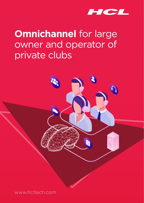

# **Omnichannel** for large owner and operator of private clubs

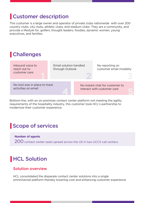# **Customer description**

This customer is a large owner and operator of private clubs nationwide with over 200 country clubs, city clubs, athletic clubs, and stadium clubs. They are a community, and provide a lifestyle for, golfers, thought leaders, foodies, dynamic women, young executives, and families.



Bottom-line, with an on-premises contact center platform not meeting the agility requirements of the hospitality industry, this customer took HCL's partnership to modernize their customer experience.

# Scope of services

**Number of agents** 200 contact center seats spread across the US in two UCCX call centers.

# **HCL Solution**

## Solution overview

HCL consolidated the disparate contact center solutions into a single omnichannel platform thereby lowering cost and enhancing customer experience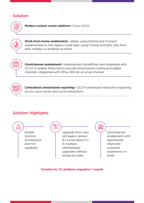## **Solution**



**Modern contact center platform–** Cisco UCCX



**Work-from-home enablement–** Jabber using Extend and Connect implemented so that agents could login using Finesse and take calls from their mobiles or landlines at home



**Omnichannel enablement-** Implemented SocialMiner and integrated with UCCX to enable WebChat to provide omnichannel routing and digital channels; integrated with Office 365 for an email channel

<u>| 10 F</u>

**Centralized omnichannel reporting–** UCCX-centralized interaction reporting across voice, email, and social interactions

## Solution Highlights



**Timeline for CC platform migration: 1 month**